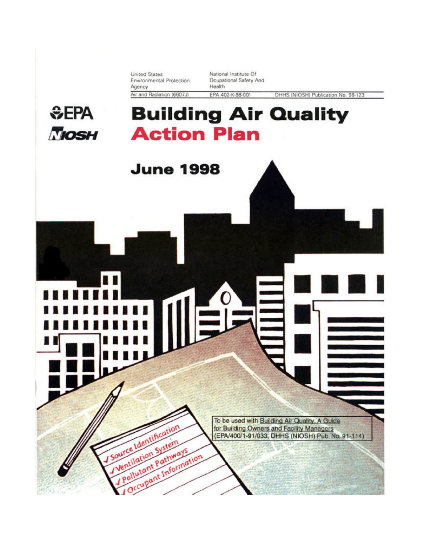**United States** Environmental Protection Agency Air and Radiation (6607J)

National Institute Of Ocupational Safety And Health EPA 402-K-98-001

DHHS (NIOSH) Publication No. 98-123.

# **SEPA TIOSH**

# **Building Air Quality Action Plan**



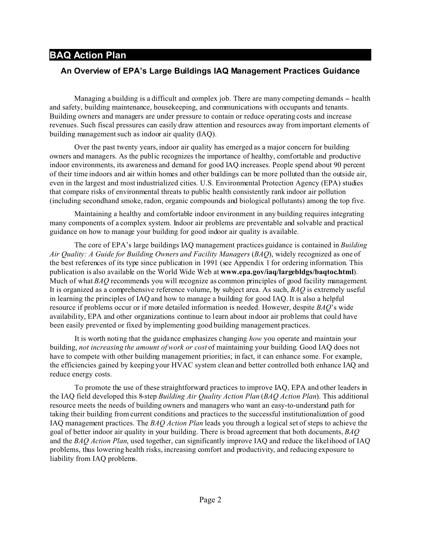### **An Overview of EPA's Large Buildings IAQ Management Practices Guidance**

Managing a building is a difficult and complex job. There are many competing demands – health and safety, building maintenance, housekeeping, and communications with occupants and tenants. Building owners and managers are under pressure to contain or reduce operating costs and increase revenues. Such fiscal pressures can easily draw attention and resources away from important elements of building management such as indoor air quality (IAQ).

Over the past twenty years, indoor air quality has emerged as a major concern for building owners and managers. As the public recognizes the importance of healthy, comfortable and productive indoor environments, its awareness and demand for good IAQ increases. People spend about 90 percent of their time indoors and air within homes and other buildings can be more polluted than the outside air, even in the largest and most industrialized cities. U.S. Environmental Protection Agency (EPA) studies that compare risks of environmental threats to public health consistently rank indoor air pollution (including secondhand smoke, radon, organic compounds and biological pollutants) among the top five.

Maintaining a healthy and comfortable indoor environment in any building requires integrating many components of a complex system. Indoor air problems are preventable and solvable and practical guidance on how to manage your building for good indoor air quality is available.

The core of EPA's large buildings IAQ management practices guidance is contained in *Building Air Quality: A Guide for Building Owners and Facility Managers* (*BAQ*), widely recognized as one of the best references of its type since publication in 1991 (see Appendix 1 for ordering information. This publication is also available on the World Wide Web at **www.epa.gov/iaq/largebldgs/baqtoc.html**). Much of what *BAQ* recommends you will recognize as common principles of good facility management. It is organized as a comprehensive reference volume, by subject area. As such, *BAQ* is extremely useful in learning the principles of IAQ and how to manage a building for good IAQ. It is also a helpful resource if problems occur or if more detailed information is needed. However, despite *BAQ*'s wide availability, EPA and other organizations continue to learn about indoor air problems that could have been easily prevented or fixed by implementing good building management practices.

It is worth noting that the guidance emphasizes changing *how* you operate and maintain your building, *not increasing the amount of work or cost* of maintaining your building. Good IAQ does not have to compete with other building management priorities; in fact, it can enhance some. For example, the efficiencies gained by keeping your HVAC system clean and better controlled both enhance IAQ and reduce energy costs.

To promote the use of these straightforward practices to improve IAQ, EPA and other leaders in the IAQ field developed this 8-step *Building Air Quality Action Plan* (*BAQ Action Plan*). This additional resource meets the needs of building owners and managers who want an easy-to-understand path for taking their building from current conditions and practices to the successful institutionalization of good IAQ management practices. The *BAQ Action Plan* leads you through a logical set of steps to achieve the goal of better indoor air quality in your building. There is broad agreement that both documents, *BAQ* and the *BAQ Action Plan*, used together, can significantly improve IAQ and reduce the likelihood of IAQ problems, thus lowering health risks, increasing comfort and productivity, and reducing exposure to liability from IAQ problems.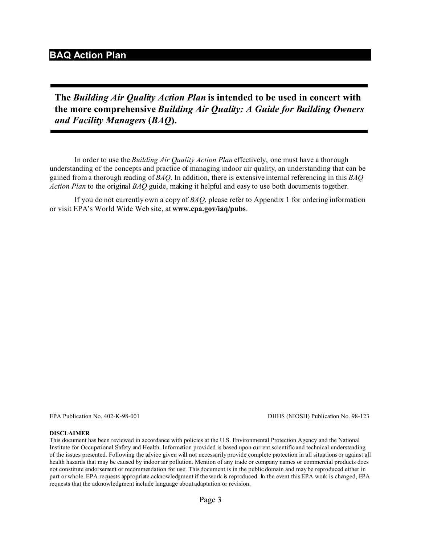**The** *Building Air Quality Action Plan* **is intended to be used in concert with the more comprehensive** *Building Air Quality: A Guide for Building Owners and Facility Managers* **(***BAQ***).**

In order to use the *Building Air Quality Action Plan* effectively, one must have a thorough understanding of the concepts and practice of managing indoor air quality, an understanding that can be gained from a thorough reading of *BAQ*. In addition, there is extensive internal referencing in this *BAQ Action Plan* to the original *BAQ* guide, making it helpful and easy to use both documents together.

If you do not currently own a copy of *BAQ*, please refer to Appendix 1 for ordering information or visit EPA's World Wide Web site, at **www.epa.gov/iaq/pubs**.

EPA Publication No. 402-K-98-001 DHHS (NIOSH) Publication No. 98-123

#### **DISCLAIMER**

This document has been reviewed in accordance with policies at the U.S. Environmental Protection Agency and the National Institute for Occupational Safety and Health. Information provided is based upon current scientific and technical understanding of the issues presented. Following the advice given will not necessarily provide complete protection in all situations or against all health hazards that may be caused by indoor air pollution. Mention of any trade or company names or commercial products does not constitute endorsement or recommendation for use. This document is in the public domain and may be reproduced either in part or whole. EPA requests appropriate acknowledgment if the work is reproduced. In the event this EPA work is changed, EPA requests that the acknowledgment include language about adaptation or revision.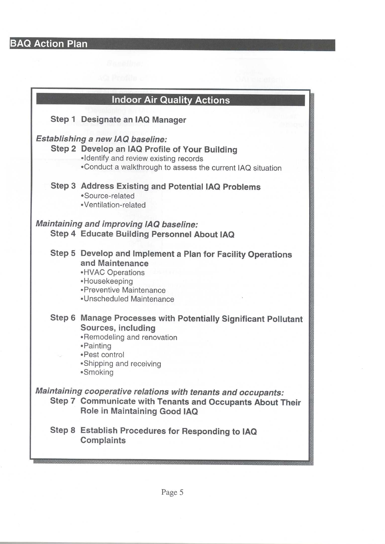| <b>Indoor Air Quality Actions</b>                                                             |                                                                                                                                                                                            |  |
|-----------------------------------------------------------------------------------------------|--------------------------------------------------------------------------------------------------------------------------------------------------------------------------------------------|--|
|                                                                                               | Step 1 Designate an IAQ Manager                                                                                                                                                            |  |
|                                                                                               | Establishing a new IAQ baseline:<br>Step 2 Develop an IAQ Profile of Your Building<br>·Identify and review existing records<br>. Conduct a walkthrough to assess the current IAQ situation |  |
|                                                                                               | <b>Step 3 Address Existing and Potential IAQ Problems</b><br>·Source-related<br>·Ventilation-related                                                                                       |  |
| <b>Maintaining and improving IAQ baseline:</b><br>Step 4 Educate Building Personnel About IAQ |                                                                                                                                                                                            |  |
|                                                                                               | Step 5 Develop and Implement a Plan for Facility Operations<br>and Maintenance<br>• HVAC Operations<br>•Housekeeping<br>•Preventive Maintenance<br>•Unscheduled Maintenance                |  |
|                                                                                               | Step 6 Manage Processes with Potentially Significant Pollutant<br>Sources, including<br>•Remodeling and renovation<br>•Painting<br>•Pest control<br>•Shipping and receiving<br>·Smoking    |  |
|                                                                                               | Maintaining cooperative relations with tenants and occupants:<br>Step 7 Communicate with Tenants and Occupants About Their<br>Role in Maintaining Good IAQ                                 |  |
|                                                                                               | Step 8 Establish Procedures for Responding to IAQ<br><b>Complaints</b>                                                                                                                     |  |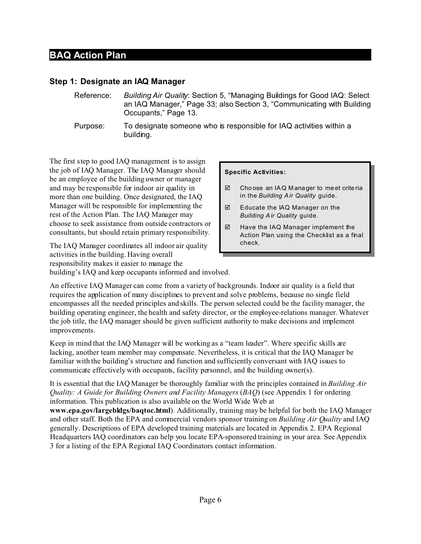### **Step 1: Designate an IAQ Manager**

- Reference: *Building Air Quality*: Section 5, "Managing Buildings for Good IAQ: Select an IAQ Manager," Page 33; also Section 3, "Communicating with Building Occupants," Page 13.
- Purpose: To designate someone who is responsible for IAQ activities within a building.

The first step to good IAQ management is to assign the job of IAQ Manager. The IAQ Manager should be an employee of the building owner or manager and may be responsible for indoor air quality in more than one building. Once designated, the IAQ Manager will be responsible for implementing the rest of the Action Plan. The IAQ Manager may choose to seek assistance from outside contractors or consultants, but should retain primary responsibility.

The IAQ Manager coordinates all indoor air quality activities in the building. Having overall responsibility makes it easier to manage the building's IAQ and keep occupants informed and involved.

#### **Specific Activities:**

- $\boxtimes$  Choose an IAQ Manager to meet criteria in the *Building Air Quality* guide.
- □ Educate the IAQ Manager on the *Building Air Quality* guide.
- $\n *Q*\n *H*ave the IAQ Manager implementation$ Action Plan using the Checklist as a final check.

An effective IAQ Manager can come from a variety of backgrounds. Indoor air quality is a field that requires the application of many disciplines to prevent and solve problems, because no single field encompasses all the needed principles and skills. The person selected could be the facility manager, the building operating engineer, the health and safety director, or the employee-relations manager. Whatever the job title, the IAQ manager should be given sufficient authority to make decisions and implement improvements.

Keep in mind that the IAQ Manager will be working as a "team leader". Where specific skills are lacking, another team member may compensate. Nevertheless, it is critical that the IAQ Manager be familiar with the building's structure and function and sufficiently conversant with IAQ issues to communicate effectively with occupants, facility personnel, and the building owner(s).

It is essential that the IAQ Manager be thoroughly familiar with the principles contained in *Building Air Quality: A Guide for Building Owners and Facility Managers* (*BAQ*) (see Appendix 1 for ordering information. This publication is also available on the World Wide Web at

**www.epa.gov/largebldgs/baqtoc.html**). Additionally, training may be helpful for both the IAQ Manager and other staff. Both the EPA and commercial vendors sponsor training on *Building Air Quality* and IAQ generally. Descriptions of EPA developed training materials are located in Appendix 2. EPA Regional Headquarters IAQ coordinators can help you locate EPA-sponsored training in your area. See Appendix 3 for a listing of the EPA Regional IAQ Coordinators contact information.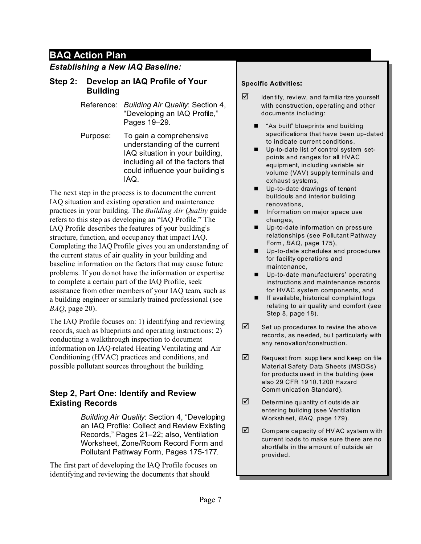### *Establishing a New IAQ Baseline:*

### **Step 2: Develop an IAQ Profile of Your Building**

Reference: *Building Air Quality*: Section 4, "Developing an IAQ Profile," Pages 19–29.

Purpose: To gain a comprehensive understanding of the current IAQ situation in your building, including all of the factors that could influence your building's IAQ.

The next step in the process is to document the current IAQ situation and existing operation and maintenance practices in your building. The *Building Air Quality* guide refers to this step as developing an "IAQ Profile." The IAQ Profile describes the features of your building's structure, function, and occupancy that impact IAQ. Completing the IAQ Profile gives you an understanding of the current status of air quality in your building and baseline information on the factors that may cause future problems. If you do not have the information or expertise to complete a certain part of the IAQ Profile, seek assistance from other members of your IAQ team, such as a building engineer or similarly trained professional (see *BAQ*, page 20).

The IAQ Profile focuses on: 1) identifying and reviewing records, such as blueprints and operating instructions; 2) conducting a walkthrough inspection to document information on IAQ-related Heating Ventilating and Air Conditioning (HVAC) practices and conditions, and possible pollutant sources throughout the building.

## **Step 2, Part One: Identify and Review Existing Records**

*Building Air Quality*: Section 4, "Developing an IAQ Profile: Collect and Review Existing Records," Pages 21–22; also, Ventilation Worksheet, Zone/Room Record Form and Pollutant Pathway Form, Pages 175-177.

The first part of developing the IAQ Profile focuses on identifying and reviewing the documents that should

#### **Specific Activities:**

- $\triangledown$  Identify, review, and familiarize yourself with construction, operating and other documents including:
	- $\blacksquare$  "As built" blueprints and building specifications that have been up-dated to indicate current conditions,
	- Up-to-date list of control system setpoints and ranges for all HVAC equipment, including variable air volume (VAV) supply terminals and exhaust systems,
	- $\blacksquare$  Up-to-date drawings of tenant buildouts and interior building renovations,
	- **n** Information on major space use changes,
	- **n** Up-to-date information on pressure relationships (see Pollutant Pathway Form , *BAQ*, page 175),
	- Up-to-date schedules and procedures for facility operations and maintenance,
	- **n** Up-to-date manufacturers' operating instructions and maintenance records for HVAC system components, and
	- If available, historical complaint logs relating to air quality and comfort (see Step 8, page 18).
- $\boxtimes$  Set up procedures to revise the above records, as needed, but particularly with any renovation/construction.
- $\mathbb Z$  Request from suppliers and keep on file Material Safety Data Sheets (MSDSs) for products used in the building (see also 29 CFR 1910.1200 Hazard Comm unication Standard).
- $\triangledown$  Dete rmine quantity of outside air entering building (see Ventilation Worksheet, *BAQ*, page 179).
- $\boxtimes$  Com pare capacity of HV AC system with current loads to make sure there are no shortfalls in the a mount of outs ide air provided.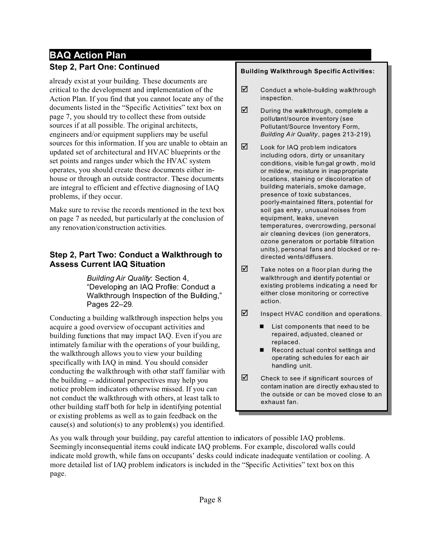# **BAQ Action Plan Step 2, Part One: Continued**

already exist at your building. These documents are critical to the development and implementation of the Action Plan. If you find that you cannot locate any of the documents listed in the "Specific Activities" text box on page 7, you should try to collect these from outside sources if at all possible. The original architects, engineers and/or equipment suppliers may be useful sources for this information. If you are unable to obtain an updated set of architectural and HVAC blueprints or the set points and ranges under which the HVAC system operates, you should create these documents either inhouse or through an outside contractor. These documents are integral to efficient and effective diagnosing of IAQ problems, if they occur.

Make sure to revise the records mentioned in the text box on page 7 as needed, but particularly at the conclusion of any renovation/construction activities.

## **Step 2, Part Two: Conduct a Walkthrough to Assess Current IAQ Situation**

*Building Air Quality*: Section 4, "Developing an IAQ Profile: Conduct a Walkthrough Inspection of the Building," Pages 22–29.

Conducting a building walkthrough inspection helps you acquire a good overview of occupant activities and building functions that may impact IAQ. Even if you are intimately familiar with the operations of your building, the walkthrough allows you to view your building specifically with IAQ in mind. You should consider conducting the walkthrough with other staff familiar with the building -- additional perspectives may help you notice problem indicators otherwise missed. If you can not conduct the walkthrough with others, at least talk to other building staff both for help in identifying potential or existing problems as well as to gain feedback on the cause(s) and solution(s) to any problem(s) you identified.

#### **Building Walkthrough Specific Activities:**

- $\boxtimes$  Conduct a whole-building walkthrough inspection.
- $\boxtimes$  During the walkthrough, complete a pollutant/source inventory (see Pollutant/Source Inventory Form, *Building Air Quality*, pages 213-219).
- $\nabla$  Look for IAQ problem indicators including odors, dirty or unsanitary conditions, visib le fungal growth, mold or mildew, moisture in inappropriate locations, staining or discoloration of building materials, smoke damage, presence of toxic substances, poorly-maintained filters, potential for soil gas entry, unusual noises from equipment, leaks, uneven temperatures, overcrowding, personal air cleaning devices (ion generators, ozone generators or portable filtration units), personal fans and blocked or redirected vents/diffusers.
- $\triangledown$  Take notes on a floor plan during the walkthrough and identify potential or existing problems indicating a need for either close monitoring or corrective action.
- $\boxtimes$  Inspect HVAC condition and operations.
	- List components that need to be repaired, adjusted, cleaned or replaced.
	- Record actual control settings and operating schedules for each air handling unit.
- $\boxtimes$  Check to see if significant sources of contam ination are directly exhausted to the outside or can be moved close to an exhaust fan.

As you walk through your building, pay careful attention to indicators of possible IAQ problems. Seemingly inconsequential items could indicate IAQ problems. For example, discolored walls could indicate mold growth, while fans on occupants' desks could indicate inadequate ventilation or cooling. A more detailed list of IAQ problem indicators is included in the "Specific Activities" text box on this page.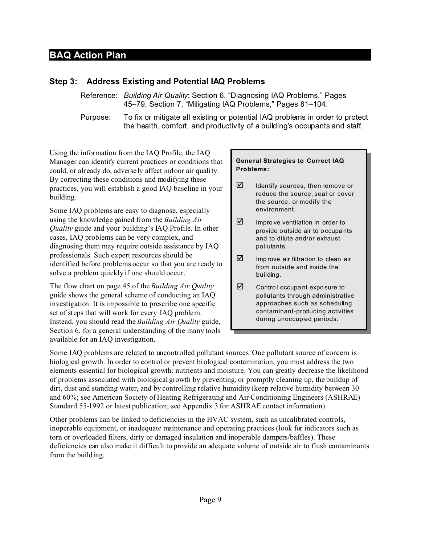### **Step 3: Address Existing and Potential IAQ Problems**

Reference: *Building Air Quality*: Section 6, "Diagnosing IAQ Problems," Pages 45–79, Section 7, "Mitigating IAQ Problems," Pages 81–104.

Purpose: To fix or mitigate all existing or potential IAQ problems in order to protect the health, comfort, and productivity of a building's occupants and staff.

Using the information from the IAQ Profile, the IAQ Manager can identify current practices or conditions that could, or already do, adversely affect indoor air quality. By correcting these conditions and modifying these practices, you will establish a good IAQ baseline in your building.

Some IAQ problems are easy to diagnose, especially using the knowledge gained from the *Building Air Quality* guide and your building's IAQ Profile. In other cases, IAQ problems can be very complex, and diagnosing them may require outside assistance by IAQ professionals. Such expert resources should be identified before problems occur so that you are ready to solve a problem quickly if one should occur.

The flow chart on page 45 of the *Building Air Quality* guide shows the general scheme of conducting an IAQ investigation. It is impossible to prescribe one specific set of steps that will work for every IAQ problem. Instead, you should read the *Building Air Quality* guide, Section 6, for a general understanding of the many tools available for an IAQ investigation.

#### **General Strategies to Correct IAQ Problems:**

- $\triangledown$  Identify sources, then remove or reduce the source, seal or cover the source, or modify the environment.
- $\triangledown$  Improve ventilation in order to provide outside air to occupants and to dilute and/or exhaust pollutants.
- $\nabla$  Imp rove air filtration to clean air from outside and inside the building.
- $\boxtimes$  Control occupant exposure to pollutants through administrative approaches such as scheduling contaminant-producing activities during unoccupied periods.

Some IAQ problems are related to uncontrolled pollutant sources. One pollutant source of concern is biological growth. In order to control or prevent biological contamination, you must address the two elements essential for biological growth: nutrients and moisture. You can greatly decrease the likelihood of problems associated with biological growth by preventing, or promptly cleaning up, the buildup of dirt, dust and standing water, and by controlling relative humidity (keep relative humidity between 30 and 60%; see American Society of Heating Refrigerating and Air-Conditioning Engineers (ASHRAE) Standard 55-1992 or latest publication; see Appendix 3 for ASHRAE contact information).

Other problems can be linked to deficiencies in the HVAC system, such as uncalibrated controls, inoperable equipment, or inadequate maintenance and operating practices (look for indicators such as torn or overloaded filters, dirty or damaged insulation and inoperable dampers/baffles). These deficiencies can also make it difficult to provide an adequate volume of outside air to flush contaminants from the building.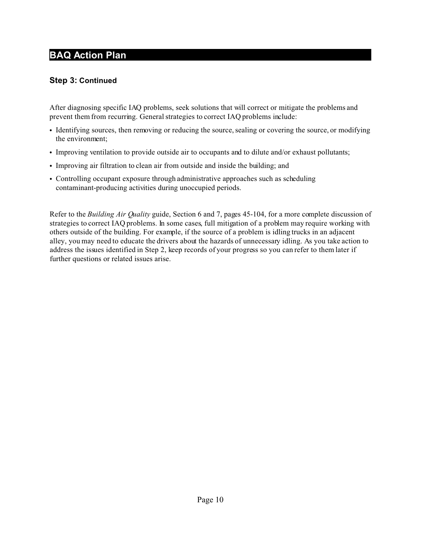### **Step 3: Continued**

After diagnosing specific IAQ problems, seek solutions that will correct or mitigate the problems and prevent them from recurring. General strategies to correct IAQ problems include:

- Identifying sources, then removing or reducing the source, sealing or covering the source, or modifying the environment;
- Improving ventilation to provide outside air to occupants and to dilute and/or exhaust pollutants;
- Improving air filtration to clean air from outside and inside the building; and
- Controlling occupant exposure through administrative approaches such as scheduling contaminant-producing activities during unoccupied periods.

Refer to the *Building Air Quality* guide, Section 6 and 7, pages 45-104, for a more complete discussion of strategies to correct IAQ problems. In some cases, full mitigation of a problem may require working with others outside of the building. For example, if the source of a problem is idling trucks in an adjacent alley, you may need to educate the drivers about the hazards of unnecessary idling. As you take action to address the issues identified in Step 2, keep records of your progress so you can refer to them later if further questions or related issues arise.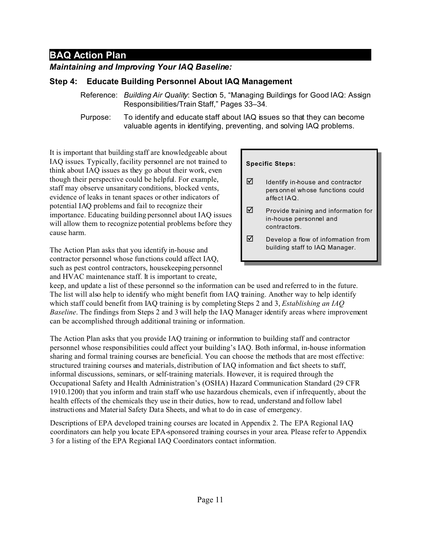## *Maintaining and Improving Your IAQ Baseline:*

## **Step 4: Educate Building Personnel About IAQ Management**

- Reference: *Building Air Quality*: Section 5, "Managing Buildings for Good IAQ: Assign Responsibilities/Train Staff," Pages 33–34.
- Purpose: To identify and educate staff about IAQ issues so that they can become valuable agents in identifying, preventing, and solving IAQ problems.

It is important that building staff are knowledgeable about IAQ issues. Typically, facility personnel are not trained to think about IAQ issues as they go about their work, even though their perspective could be helpful. For example, staff may observe unsanitary conditions, blocked vents, evidence of leaks in tenant spaces or other indicators of potential IAQ problems and fail to recognize their importance. Educating building personnel about IAQ issues will allow them to recognize potential problems before they cause harm.

The Action Plan asks that you identify in-house and contractor personnel whose functions could affect IAQ, such as pest control contractors, housekeeping personnel and HVAC maintenance staff. It is important to create,

#### **Specific Steps:**

- $\boxtimes$  Identify in-house and contractor personnel whose functions could affect IAQ.
- $\boxtimes$  Provide training and information for in-house personnel and contractors.
- $\triangledown$  Develop a flow of information from building staff to IAQ Manager.

keep, and update a list of these personnel so the information can be used and referred to in the future. The list will also help to identify who might benefit from IAQ training. Another way to help identify which staff could benefit from IAQ training is by completing Steps 2 and 3, *Establishing an IAQ Baseline*. The findings from Steps 2 and 3 will help the IAQ Manager identify areas where improvement can be accomplished through additional training or information.

The Action Plan asks that you provide IAQ training or information to building staff and contractor personnel whose responsibilities could affect your building's IAQ. Both informal, in-house information sharing and formal training courses are beneficial. You can choose the methods that are most effective: structured training courses and materials, distribution of IAQ information and fact sheets to staff, informal discussions, seminars, or self-training materials. However, it is required through the Occupational Safety and Health Administration's (OSHA) Hazard Communication Standard (29 CFR 1910.1200) that you inform and train staff who use hazardous chemicals, even if infrequently, about the health effects of the chemicals they use in their duties, how to read, understand and follow label instructions and Material Safety Data Sheets, and what to do in case of emergency.

Descriptions of EPA developed training courses are located in Appendix 2. The EPA Regional IAQ coordinators can help you locate EPA-sponsored training courses in your area. Please refer to Appendix 3 for a listing of the EPA Regional IAQ Coordinators contact information.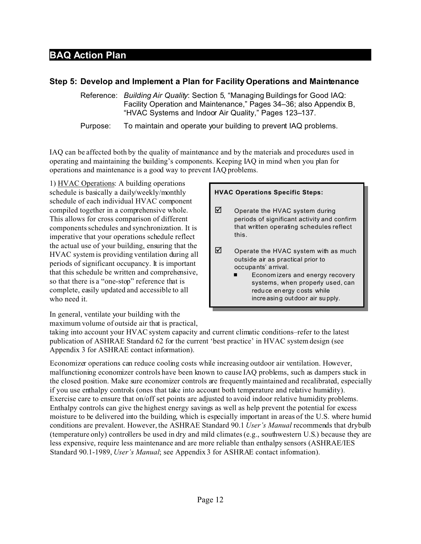### **Step 5: Develop and Implement a Plan for Facility Operations and Maintenance**

Reference: *Building Air Quality*: Section 5, "Managing Buildings for Good IAQ: Facility Operation and Maintenance," Pages 34–36; also Appendix B, "HVAC Systems and Indoor Air Quality," Pages 123–137.

Purpose: To maintain and operate your building to prevent IAQ problems.

IAQ can be affected both by the quality of maintenance and by the materials and procedures used in operating and maintaining the building's components. Keeping IAQ in mind when you plan for operations and maintenance is a good way to prevent IAQ problems.

1) HVAC Operations: A building operations schedule is basically a daily/weekly/monthly schedule of each individual HVAC component compiled together in a comprehensive whole. This allows for cross comparison of different components schedules and synchronization. It is imperative that your operations schedule reflect the actual use of your building, ensuring that the HVAC system is providing ventilation during all periods of significant occupancy. It is important that this schedule be written and comprehensive, so that there is a "one-stop" reference that is complete, easily updated and accessible to all who need it.

#### **HVAC Operations Specific Steps:**

- $\nabla$  Operate the HVAC system during periods of significant activity and confirm that written operating schedules reflect this.
- $\boxtimes$  Operate the HVAC system with as much outside air as practical prior to occupants' arrival.
	- Economizers and energy recovery systems, when properly used, can reduce en ergy costs while increasing outdoor air su pply.

In general, ventilate your building with the maximum volume of outside air that is practical,

taking into account your HVAC system capacity and current climatic conditions–refer to the latest publication of ASHRAE Standard 62 for the current 'best practice' in HVAC system design (see Appendix 3 for ASHRAE contact information).

Economizer operations can reduce cooling costs while increasing outdoor air ventilation. However, malfunctioning economizer controls have been known to cause IAQ problems, such as dampers stuck in the closed position. Make sure economizer controls are frequently maintained and recalibrated, especially if you use enthalpy controls (ones that take into account both temperature and relative humidity). Exercise care to ensure that on/off set points are adjusted to avoid indoor relative humidity problems. Enthalpy controls can give the highest energy savings as well as help prevent the potential for excess moisture to be delivered into the building, which is especially important in areas of the U.S. where humid conditions are prevalent. However, the ASHRAE Standard 90.1 *User's Manual* recommends that drybulb (temperature only) controllers be used in dry and mild climates (e.g., southwestern U.S.) because they are less expensive, require less maintenance and are more reliable than enthalpy sensors (ASHRAE/IES Standard 90.1-1989, *User's Manual*; see Appendix 3 for ASHRAE contact information).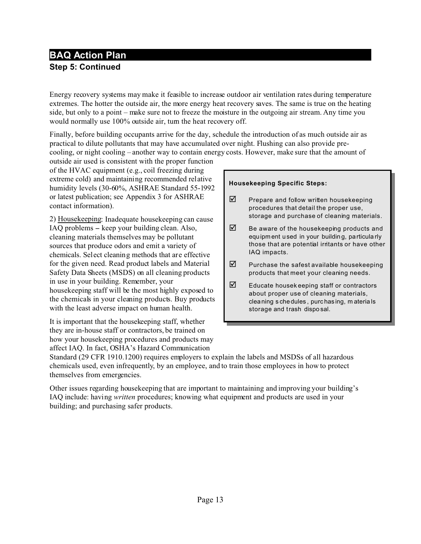# **BAQ Action Plan Step 5: Continued**

Energy recovery systems may make it feasible to increase outdoor air ventilation rates during temperature extremes. The hotter the outside air, the more energy heat recovery saves. The same is true on the heating side, but only to a point – make sure not to freeze the moisture in the outgoing air stream. Any time you would normally use 100% outside air, turn the heat recovery off.

Finally, before building occupants arrive for the day, schedule the introduction of as much outside air as practical to dilute pollutants that may have accumulated over night. Flushing can also provide precooling, or night cooling – another way to contain energy costs. However, make sure that the amount of

outside air used is consistent with the proper function of the HVAC equipment (e.g., coil freezing during extreme cold) and maintaining recommended relative humidity levels (30-60%, ASHRAE Standard 55-1992 or latest publication; see Appendix 3 for ASHRAE contact information).

2) Housekeeping: Inadequate housekeeping can cause IAQ problems – keep your building clean. Also, cleaning materials themselves may be pollutant sources that produce odors and emit a variety of chemicals. Select cleaning methods that are effective for the given need. Read product labels and Material Safety Data Sheets (MSDS) on all cleaning products in use in your building. Remember, your housekeeping staff will be the most highly exposed to the chemicals in your cleaning products. Buy products with the least adverse impact on human health.

It is important that the housekeeping staff, whether they are in-house staff or contractors, be trained on how your housekeeping procedures and products may affect IAQ. In fact, OSHA's Hazard Communication

#### **Housekeeping Specific Steps:**

- $\nabla$  Prepare and follow written housekeeping procedures that detail the proper use, storage and purchase of cleaning materials.
- $\boxtimes$  Be aware of the housekeeping products and equipment used in your building, particula rly those that are potential irritants or have other IAQ impacts.
- $\boxtimes$  Purchase the safest available housekeeping products that meet your cleaning needs.
- $\boxtimes$  Educate housekeeping staff or contractors about proper use of cleaning materials, cleaning s chedules , purchasing, m aterials storage and trash dispo sal.

Standard (29 CFR 1910.1200) requires employers to explain the labels and MSDSs of all hazardous chemicals used, even infrequently, by an employee, and to train those employees in how to protect themselves from emergencies.

Other issues regarding housekeeping that are important to maintaining and improving your building's IAQ include: having *written* procedures; knowing what equipment and products are used in your building; and purchasing safer products.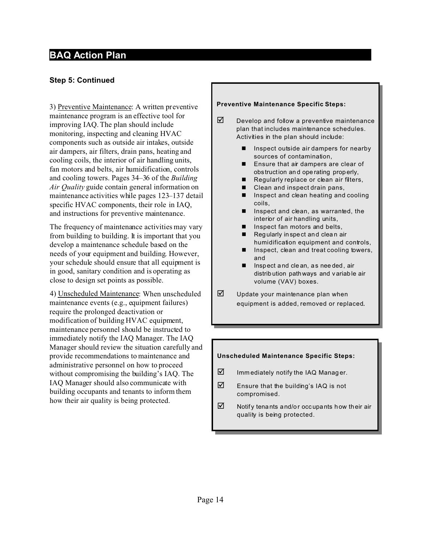### **Step 5: Continued**

3) Preventive Maintenance: A written preventive maintenance program is an effective tool for improving IAQ. The plan should include monitoring, inspecting and cleaning HVAC components such as outside air intakes, outside air dampers, air filters, drain pans, heating and cooling coils, the interior of air handling units, fan motors and belts, air humidification, controls and cooling towers. Pages 34–36 of the *Building Air Quality* guide contain general information on maintenance activities while pages 123–137 detail specific HVAC components, their role in IAQ, and instructions for preventive maintenance.

The frequency of maintenance activities may vary from building to building. It is important that you develop a maintenance schedule based on the needs of your equipment and building. However, your schedule should ensure that all equipment is in good, sanitary condition and is operating as close to design set points as possible.

4) Unscheduled Maintenance: When unscheduled maintenance events (e.g., equipment failures) require the prolonged deactivation or modification of building HVAC equipment, maintenance personnel should be instructed to immediately notify the IAQ Manager. The IAQ Manager should review the situation carefully and provide recommendations to maintenance and administrative personnel on how to proceed without compromising the building's IAQ. The IAQ Manager should also communicate with building occupants and tenants to inform them how their air quality is being protected.

#### **Preventive Maintenance Specific Steps:**

- $\boxtimes$  Develop and follow a preventive maintenance plan that includes maintenance schedules. Activities in the plan should include:
	- $\blacksquare$  Inspect outside air dampers for nearby sources of contamination,
	- Ensure that air dampers are clear of obstruction an d ope rating properly,
	- $\blacksquare$  Regularly replace or clean air filters,
	- Clean and inspect drain pans,
	- $\blacksquare$  Inspect and clean heating and cooling coils,
	- $\blacksquare$  Inspect and clean, as warranted, the interior of air handling units,
	- Inspect fan motors and belts,
	- Regularly in spect and clean air humidification equipment and controls,
	- $\blacksquare$  Inspect, clean and treat cooling towers, and
	- $\blacksquare$  Inspect and clean, as needed, air distrib ution pathways and variable air volume (VAV) boxes.
- $\triangledown$  Update your maintenance plan when equipment is added, removed or replaced.

#### **Unscheduled Maintenance Specific Steps:**

- $\boxtimes$  Imm ediately notify the IAQ Manager.
- $\nabla$  Ensure that the building's IAQ is not compromised.
- $\triangledown$  Notify tenants and/or occupants how their air quality is being protected.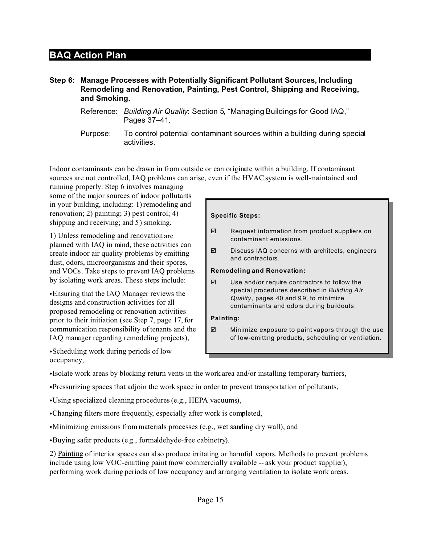#### **Step 6: Manage Processes with Potentially Significant Pollutant Sources, Including Remodeling and Renovation, Painting, Pest Control, Shipping and Receiving, and Smoking.**

- Reference: *Building Air Quality*: Section 5, "Managing Buildings for Good IAQ," Pages 37–41.
- Purpose: To control potential contaminant sources within a building during special activities.

Indoor contaminants can be drawn in from outside or can originate within a building. If contaminant sources are not controlled, IAQ problems can arise, even if the HVAC system is well-maintained and

running properly. Step 6 involves managing some of the major sources of indoor pollutants in your building, including: 1) remodeling and renovation; 2) painting; 3) pest control; 4) shipping and receiving; and 5) smoking.

1) Unless remodeling and renovation are planned with IAQ in mind, these activities can create indoor air quality problems by emitting dust, odors, microorganisms and their spores, and VOCs. Take steps to prevent IAQ problems by isolating work areas. These steps include:

• Ensuring that the IAQ Manager reviews the designs and construction activities for all proposed remodeling or renovation activities prior to their initiation (see Step 7, page 17, for communication responsibility of tenants and the IAQ manager regarding remodeling projects),

• Scheduling work during periods of low occupancy,

#### **Specific Steps:**

- $\nabla$  Request information from product suppliers on contaminant emissions.
- $\nabla$  Discuss IAQ concerns with architects, engineers and contractors.

#### **Remodeling and Renovation:**

 $\nabla$  Use and/or require contractors to follow the special procedures described in *Building Air Quality* , pages 40 and 99, to minimize contaminants and odors during buildouts.

#### **Painting:**

 $\boxtimes$  Minimize exposure to paint vapors through the use of low-emitting products, scheduling or ventilation.

• Isolate work areas by blocking return vents in the work area and/or installing temporary barriers,

- CPressurizing spaces that adjoin the work space in order to prevent transportation of pollutants,
- CUsing specialized cleaning procedures (e.g., HEPA vacuums),
- Changing filters more frequently, especially after work is completed,
- •Minimizing emissions from materials processes (e.g., wet sanding dry wall), and
- Buying safer products (e.g., formaldehyde-free cabinetry).

2) Painting of interior spaces can also produce irritating or harmful vapors. Methods to prevent problems include using low VOC-emitting paint (now commercially available -- ask your product supplier), performing work during periods of low occupancy and arranging ventilation to isolate work areas.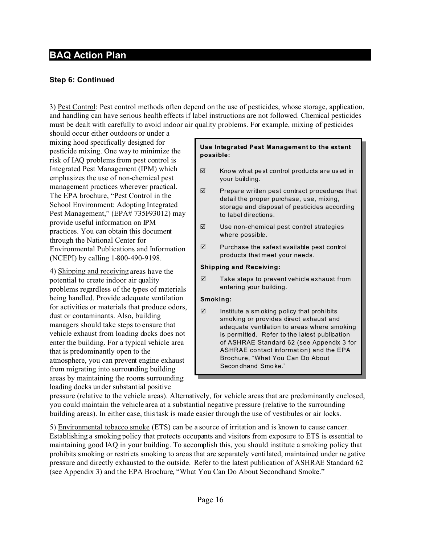### **Step 6: Continued**

3) Pest Control: Pest control methods often depend on the use of pesticides, whose storage, application, and handling can have serious health effects if label instructions are not followed. Chemical pesticides must be dealt with carefully to avoid indoor air quality problems. For example, mixing of pesticides

should occur either outdoors or under a mixing hood specifically designed for pesticide mixing. One way to minimize the risk of IAQ problems from pest control is Integrated Pest Management (IPM) which emphasizes the use of non-chemical pest management practices wherever practical. The EPA brochure, "Pest Control in the School Environment: Adopting Integrated Pest Management," (EPA# 735F93012) may provide useful information on IPM practices. You can obtain this document through the National Center for Environmental Publications and Information (NCEPI) by calling 1-800-490-9198.

4) Shipping and receiving areas have the potential to create indoor air quality problems regardless of the types of materials being handled. Provide adequate ventilation for activities or materials that produce odors, dust or contaminants. Also, building managers should take steps to ensure that vehicle exhaust from loading docks does not enter the building. For a typical vehicle area that is predominantly open to the atmosphere, you can prevent engine exhaust from migrating into surrounding building areas by maintaining the rooms surrounding loading docks under substantial positive

#### **Use Integrated Pest Management to the extent possible:**

- $\boxtimes$  Know what pest control products are used in your building.
- $\nabla$  Prepare written pest contract procedures that detail the proper purchase, use, mixing, storage and disposal of pesticides according to label directions.
- $\nabla$  Use non-chemical pest control strategies where possible.
- $\boxtimes$  Purchase the safest available pest control products that meet your needs.

#### **Shipping and Receiving:**

 $\nabla$  Take steps to prevent vehicle exhaust from entering your building.

#### **Smoking:**

 $\boxtimes$  Institute a sm oking policy that prohibits smoking or provides direct exhaust and adequate ventilation to areas where smoking is permitted. Refer to the latest publication of ASHRAE Standard 62 (see Appendix 3 for ASHRAE contact information) and the EPA Brochure, "What You Can Do About Secondhand Smoke."

pressure (relative to the vehicle areas). Alternatively, for vehicle areas that are predominantly enclosed, you could maintain the vehicle area at a substantial negative pressure (relative to the surrounding building areas). In either case, this task is made easier through the use of vestibules or air locks.

5) Environmental tobacco smoke (ETS) can be a source of irritation and is known to cause cancer. Establishing a smoking policy that protects occupants and visitors from exposure to ETS is essential to maintaining good IAQ in your building. To accomplish this, you should institute a smoking policy that prohibits smoking or restricts smoking to areas that are separately ventilated, maintained under negative pressure and directly exhausted to the outside. Refer to the latest publication of ASHRAE Standard 62 (see Appendix 3) and the EPA Brochure, "What You Can Do About Secondhand Smoke."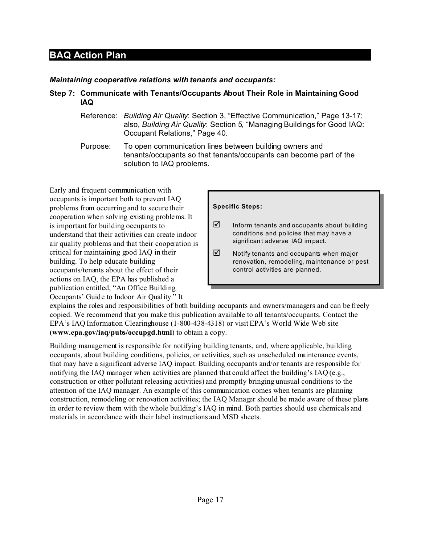#### *Maintaining cooperative relations with tenants and occupants:*

#### **Step 7: Communicate with Tenants/Occupants About Their Role in Maintaining Good IAQ**

- Reference: *Building Air Quality*: Section 3, "Effective Communication," Page 13-17; also, *Building Air Quality*: Section 5, "Managing Buildings for Good IAQ: Occupant Relations," Page 40.
- Purpose: To open communication lines between building owners and tenants/occupants so that tenants/occupants can become part of the solution to IAQ problems.

Early and frequent communication with occupants is important both to prevent IAQ problems from occurring and to secure their cooperation when solving existing problems. It is important for building occupants to understand that their activities can create indoor air quality problems and that their cooperation is critical for maintaining good IAQ in their building. To help educate building occupants/tenants about the effect of their actions on IAQ, the EPA has published a publication entitled, "An Office Building Occupants' Guide to Indoor Air Quality." It

#### **Specific Steps:**

- $\boxtimes$  Inform tenants and occupants about building conditions and policies that may have a significant adverse IAQ im pact.
- $\triangledown$  Notify tenants and occupants when major renovation, remodeling, maintenance or pest control activities are planned.

explains the roles and responsibilities of both building occupants and owners/managers and can be freely copied. We recommend that you make this publication available to all tenants/occupants. Contact the EPA's IAQ Information Clearinghouse (1-800-438-4318) or visit EPA's World Wide Web site (**www.epa.gov/iaq/pubs/occupgd.html**) to obtain a copy.

Building management is responsible for notifying building tenants, and, where applicable, building occupants, about building conditions, policies, or activities, such as unscheduled maintenance events, that may have a significant adverse IAQ impact. Building occupants and/or tenants are responsible for notifying the IAQ manager when activities are planned that could affect the building's IAQ (e.g., construction or other pollutant releasing activities) and promptly bringing unusual conditions to the attention of the IAQ manager. An example of this communication comes when tenants are planning construction, remodeling or renovation activities; the IAQ Manager should be made aware of these plans in order to review them with the whole building's IAQ in mind. Both parties should use chemicals and materials in accordance with their label instructions and MSD sheets.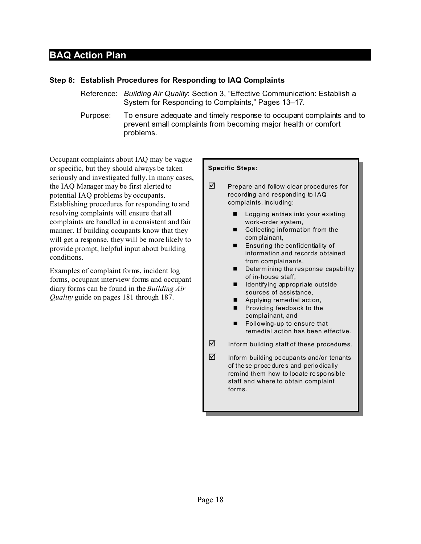#### **Step 8: Establish Procedures for Responding to IAQ Complaints**

- Reference: *Building Air Quality*: Section 3, "Effective Communication: Establish a System for Responding to Complaints," Pages 13–17.
- Purpose: To ensure adequate and timely response to occupant complaints and to prevent small complaints from becoming major health or comfort problems.

Occupant complaints about IAQ may be vague or specific, but they should always be taken seriously and investigated fully. In many cases, the IAQ Manager may be first alerted to potential IAQ problems by occupants. Establishing procedures for responding to and resolving complaints will ensure that all complaints are handled in a consistent and fair manner. If building occupants know that they will get a response, they will be more likely to provide prompt, helpful input about building conditions.

Examples of complaint forms, incident log forms, occupant interview forms and occupant diary forms can be found in the *Building Air Quality* guide on pages 181 through 187.

#### **Specific Steps:**

- $\boxtimes$  Prepare and follow clear procedures for recording and responding to IAQ complaints, including:
	- **n** Logging entries into your existing work-order system,
	- $\blacksquare$  Collecting information from the complainant,
	- **E** Ensuring the confidentiality of information and records obtained from complainants,
	- Determ ining the response capability of in-house staff,
	- $\blacksquare$  Identifying appropriate outside sources of assistance,
	- $\blacksquare$  Applying remedial action,
	- $\blacksquare$  Providing feedback to the complainant, and
	- **n** Following-up to ensure that remedial action has been effective.
- $\nabla$  Inform building staff of these procedures.
- $\boxtimes$  Inform building occupants and/or tenants of these procedures and periodically rem ind them how to locate responsible staff and where to obtain complaint forms.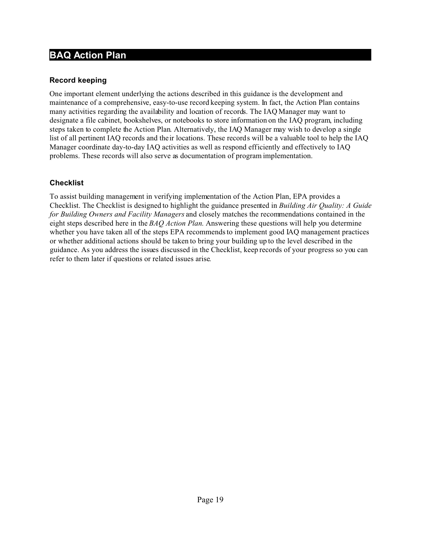### **Record keeping**

One important element underlying the actions described in this guidance is the development and maintenance of a comprehensive, easy-to-use record keeping system. In fact, the Action Plan contains many activities regarding the availability and location of records. The IAQ Manager may want to designate a file cabinet, bookshelves, or notebooks to store information on the IAQ program, including steps taken to complete the Action Plan. Alternatively, the IAQ Manager may wish to develop a single list of all pertinent IAQ records and their locations. These records will be a valuable tool to help the IAQ Manager coordinate day-to-day IAQ activities as well as respond efficiently and effectively to IAQ problems. These records will also serve as documentation of program implementation.

### **Checklist**

To assist building management in verifying implementation of the Action Plan, EPA provides a Checklist. The Checklist is designed to highlight the guidance presented in *Building Air Quality: A Guide for Building Owners and Facility Managers* and closely matches the recommendations contained in the eight steps described here in the *BAQ Action Plan*. Answering these questions will help you determine whether you have taken all of the steps EPA recommends to implement good IAQ management practices or whether additional actions should be taken to bring your building up to the level described in the guidance. As you address the issues discussed in the Checklist, keep records of your progress so you can refer to them later if questions or related issues arise.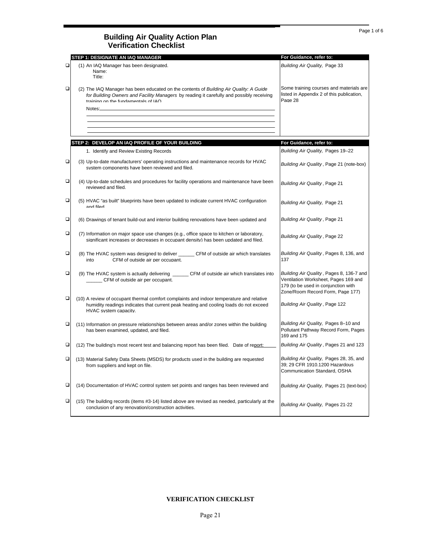|        | STEP 1: DESIGNATE AN IAQ MANAGER                                                                                                                                                                                                   | For Guidance, refer to:                                                                                                                                     |
|--------|------------------------------------------------------------------------------------------------------------------------------------------------------------------------------------------------------------------------------------|-------------------------------------------------------------------------------------------------------------------------------------------------------------|
| $\Box$ | (1) An IAQ Manager has been designated.<br>Name:<br>Title:                                                                                                                                                                         | Building Air Quality, Page 33                                                                                                                               |
| □      | (2) The IAQ Manager has been educated on the contents of Building Air Quality: A Guide<br>for Building Owners and Facility Managers by reading it carefully and possibly receiving<br>naining on the fundamentals of IAO<br>Notes: | Some training courses and materials are<br>listed in Appendix 2 of this publication,<br>Page 28                                                             |
|        | STEP 2: DEVELOP AN IAQ PROFILE OF YOUR BUILDING                                                                                                                                                                                    | For Guidance, refer to:                                                                                                                                     |
|        | 1. Identify and Review Existing Records                                                                                                                                                                                            | Building Air Quality, Pages 19-22                                                                                                                           |
| □      | (3) Up-to-date manufacturers' operating instructions and maintenance records for HVAC<br>system components have been reviewed and filed.                                                                                           | Building Air Quality, Page 21 (note-box)                                                                                                                    |
| □      | (4) Up-to-date schedules and procedures for facility operations and maintenance have been<br>reviewed and filed                                                                                                                    | Building Air Quality, Page 21                                                                                                                               |
| □      | (5) HVAC "as built" blueprints have been updated to indicate current HVAC configuration<br>halit hne                                                                                                                               | Building Air Quality, Page 21                                                                                                                               |
| □      | (6) Drawings of tenant build-out and interior building renovations have been updated and                                                                                                                                           | Building Air Quality, Page 21                                                                                                                               |
| □      | (7) Information on major space use changes (e.g., office space to kitchen or laboratory,<br>significant increases or decreases in occupant density) has been updated and filed.                                                    | Building Air Quality, Page 22                                                                                                                               |
| □      | (8) The HVAC system was designed to deliver ___________CFM of outside air which translates<br>CFM of outside air per occupant.<br>into                                                                                             | Building Air Quality, Pages 8, 136, and<br>137                                                                                                              |
| □      | (9) The HVAC system is actually delivering _______ CFM of outside air which translates into<br>_______ CFM of outside air per occupant.                                                                                            | Building Air Quality, Pages 8, 136-7 and<br>Ventilation Worksheet, Pages 169 and<br>179 (to be used in conjunction with<br>Zone/Room Record Form, Page 177) |
| □      | (10) A review of occupant thermal comfort complaints and indoor temperature and relative<br>humidity readings indicates that current peak heating and cooling loads do not exceed<br>HVAC system capacity.                         | Building Air Quality, Page 122                                                                                                                              |
| □      | (11) Information on pressure relationships between areas and/or zones within the building<br>has been examined, updated, and filed.                                                                                                | Building Air Quality, Pages 8-10 and<br>Pollutant Pathway Record Form, Pages<br>169 and 175                                                                 |
| □      | (12) The building's most recent test and balancing report has been filed. Date of report:                                                                                                                                          | Building Air Quality, Pages 21 and 123                                                                                                                      |
| ▫      | (13) Material Safety Data Sheets (MSDS) for products used in the building are requested<br>from suppliers and kept on file.                                                                                                        | Building Air Quality, Pages 28, 35, and<br>39; 29 CFR 1910.1200 Hazardous<br>Communication Standard, OSHA                                                   |
| $\Box$ | (14) Documentation of HVAC control system set points and ranges has been reviewed and                                                                                                                                              | Building Air Quality, Pages 21 (text-box)                                                                                                                   |
| $\Box$ | (15) The building records (items #3-14) listed above are revised as needed, particularly at the<br>conclusion of any renovation/construction activities.                                                                           | Building Air Quality, Pages 21-22                                                                                                                           |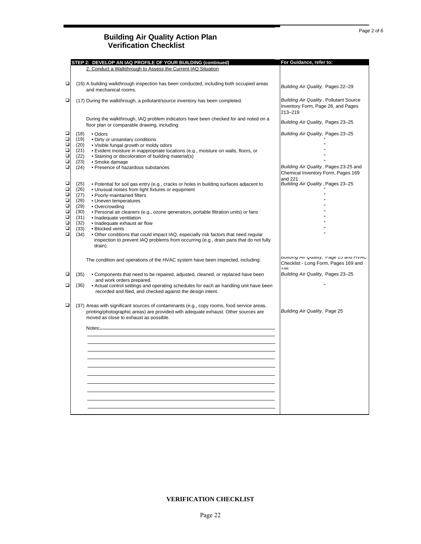|                                      | STEP 2: DEVELOP AN IAQ PROFILE OF YOUR BUILDING (continued)                                                                                                                                                                                                                | For Guidance, refer to:                                                                        |
|--------------------------------------|----------------------------------------------------------------------------------------------------------------------------------------------------------------------------------------------------------------------------------------------------------------------------|------------------------------------------------------------------------------------------------|
|                                      | 2. Conduct a Walkthrough to Assess the Current IAQ Situation                                                                                                                                                                                                               |                                                                                                |
| □                                    | (16) A building walkthrough inspection has been conducted, including both occupied areas<br>and mechanical rooms.                                                                                                                                                          | Building Air Quality, Pages 22-29                                                              |
| □                                    | (17) During the walkthrough, a pollutant/source inventory has been completed.                                                                                                                                                                                              | <b>Building Air Quality, Pollutant Source</b><br>Inventory Form, Page 26, and Pages<br>213-219 |
|                                      | During the walkthrough, IAQ problem indicators have been checked for and noted on a<br>floor plan or comparable drawing, including:                                                                                                                                        | Building Air Quality, Pages 23-25                                                              |
| □<br>О<br>$\Box$<br>$\Box$<br>$\Box$ | (18)<br>• Odors<br>(19)<br>• Dirty or unsanitary conditions<br>(20)<br>• Visible fungal growth or moldy odors<br>(21)<br>• Evident moisture in inappropriate locations (e.g., moisture on walls, floors, or<br>(22)<br>• Staining or discoloration of building material(s) | Building Air Quality, Pages 23-25                                                              |
| $\Box$<br>$\Box$                     | (23)<br>• Smoke damage<br>· Presence of hazardous substances<br>(24)                                                                                                                                                                                                       | Building Air Quality, Pages 23-25 and<br>Chemical Inventory Form, Pages 169                    |
| □<br>$\Box$<br>$\Box$                | (25)<br>• Potential for soil gas entry (e.g., cracks or holes in building surfaces adjacent to<br>(26)<br>• Unusual noises from light fixtures or equipment<br>(27)<br>• Poorly-maintained filters                                                                         | and 221<br>Building Air Quality, Pages 23-25                                                   |
| $\Box$<br>$\Box$<br>$\Box$<br>$\Box$ | (28)<br>• Uneven temperatures<br>(29)<br>• Overcrowding<br>(30)<br>• Personal air cleaners (e.g., ozone generators, portable filtration units) or fans<br>(31)<br>• Inadequate ventilation                                                                                 |                                                                                                |
| $\Box$<br>$\Box$<br>$\Box$           | (32)<br>• Inadequate exhaust air flow<br>(33)<br>• Blocked vents<br>(34)<br>• Other conditions that could impact IAQ, especially risk factors that need regular<br>inspection to prevent IAQ problems from occurring (e.g., drain pans that do not fully<br>drain).        |                                                                                                |
|                                      | The condition and operations of the HVAC system have been inspected, including:                                                                                                                                                                                            | Duilding All Quality, Page 25 and HVAC<br>Checklist - Long Form, Pages 169 and<br>10E          |
| ❏                                    | (35)<br>• Components that need to be repaired, adjusted, cleaned, or replaced have been<br>and work orders prepared.                                                                                                                                                       | Building Air Quality, Pages 23-25                                                              |
| □                                    | • Actual control settings and operating schedules for each air handling unit have been<br>(36)<br>recorded and filed, and checked against the design intent.                                                                                                               |                                                                                                |
| □                                    | (37) Areas with significant sources of contaminants (e.g., copy rooms, food service areas,<br>printing/photographic areas) are provided with adequate exhaust. Other sources are<br>moved as close to exhaust as possible.                                                 | Building Air Quality, Page 25                                                                  |
|                                      | Notes:                                                                                                                                                                                                                                                                     |                                                                                                |
|                                      |                                                                                                                                                                                                                                                                            |                                                                                                |
|                                      |                                                                                                                                                                                                                                                                            |                                                                                                |
|                                      |                                                                                                                                                                                                                                                                            |                                                                                                |
|                                      |                                                                                                                                                                                                                                                                            |                                                                                                |
|                                      |                                                                                                                                                                                                                                                                            |                                                                                                |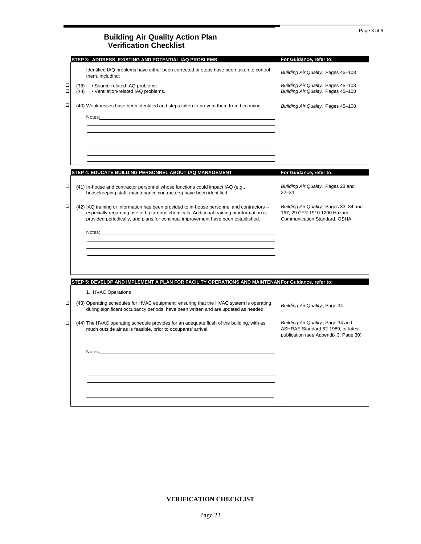|             | STEP 3: ADDRESS EXISTING AND POTENTIAL IAQ PROBLEMS                                                                                                                                                                                                                        | For Guidance, refer to:                                                                                          |
|-------------|----------------------------------------------------------------------------------------------------------------------------------------------------------------------------------------------------------------------------------------------------------------------------|------------------------------------------------------------------------------------------------------------------|
|             | Identified IAQ problems have either been corrected or steps have been taken to control<br>them. including:                                                                                                                                                                 | Building Air Quality, Pages 45-108                                                                               |
| ◻<br>$\Box$ | · Source-related IAQ problems<br>(38)<br>(39)<br>• Ventilation-related IAQ problems.                                                                                                                                                                                       | Building Air Quality, Pages 45-108<br>Building Air Quality, Pages 45-108                                         |
| $\Box$      | (40) Weaknesses have been identified and steps taken to prevent them from becoming                                                                                                                                                                                         | Building Air Quality, Pages 45-108                                                                               |
|             | Notes:                                                                                                                                                                                                                                                                     |                                                                                                                  |
|             |                                                                                                                                                                                                                                                                            |                                                                                                                  |
|             |                                                                                                                                                                                                                                                                            |                                                                                                                  |
|             | STEP 4: EDUCATE BUILDING PERSONNEL ABOUT IAQ MANAGEMENT                                                                                                                                                                                                                    | For Guidance, refer to:                                                                                          |
| □           | (41) In-house and contractor personnel whose functions could impact IAQ (e.g.,<br>housekeeping staff, maintenance contractors) have been identified.                                                                                                                       | Building Air Quality, Pages 23 and<br>$32 - 34$                                                                  |
| □           | (42) IAQ training or information has been provided to in-house personnel and contractors --<br>especially regarding use of hazardous chemicals. Additional training or information is<br>provided periodically, and plans for continual improvement have been established. | Building Air Quality, Pages 33-34 and<br>167; 29 CFR 1910.1200 Hazard<br>Communication Standard, OSHA.           |
|             | Notes: Notes: Andreas and Andreas and Andreas and Andreas and Andreas and Andreas and Andreas and Andreas and Andreas and Andreas and Andreas and Andreas and Andreas and Andreas and Andreas and Andreas and Andreas and Andr                                             |                                                                                                                  |
|             |                                                                                                                                                                                                                                                                            |                                                                                                                  |
|             |                                                                                                                                                                                                                                                                            |                                                                                                                  |
|             | STEP 5: DEVELOP AND IMPLEMENT A PLAN FOR FACILITY OPERATIONS AND MAINTENAN For Guidance, refer to:                                                                                                                                                                         |                                                                                                                  |
|             | 1. HVAC Operations                                                                                                                                                                                                                                                         |                                                                                                                  |
| $\Box$      | (43) Operating schedules for HVAC equipment, ensuring that the HVAC system is operating<br>during significant occupancy periods, have been written and are updated as needed.                                                                                              | Building Air Quality, Page 34                                                                                    |
| $\Box$      | (44) The HVAC operating schedule provides for an adequate flush of the building, with as<br>much outside air as is feasible, prior to occupants' arrival.                                                                                                                  | Building Air Quality, Page 34 and<br>ASHRAE Standard 62-1989, or latest<br>publication (see Appendix 3, Page 30) |
|             | Notes:                                                                                                                                                                                                                                                                     |                                                                                                                  |
|             |                                                                                                                                                                                                                                                                            |                                                                                                                  |
|             |                                                                                                                                                                                                                                                                            |                                                                                                                  |
|             |                                                                                                                                                                                                                                                                            |                                                                                                                  |
|             |                                                                                                                                                                                                                                                                            |                                                                                                                  |
|             |                                                                                                                                                                                                                                                                            |                                                                                                                  |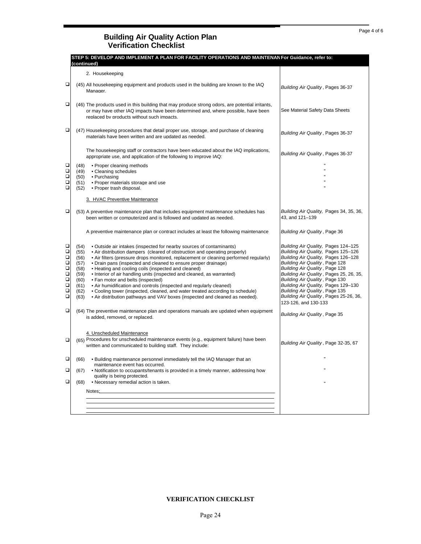|                                                                                        | STEP 5: DEVELOP AND IMPLEMENT A PLAN FOR FACILITY OPERATIONS AND MAINTENAN For Guidance, refer to:<br>(continued)                                                                                                                                                                                                                                                                                                                                                                                                                                                                                                                                                                                                                                                                                           |                                                                                                                                                                                                                                                                                                                                                                                                               |
|----------------------------------------------------------------------------------------|-------------------------------------------------------------------------------------------------------------------------------------------------------------------------------------------------------------------------------------------------------------------------------------------------------------------------------------------------------------------------------------------------------------------------------------------------------------------------------------------------------------------------------------------------------------------------------------------------------------------------------------------------------------------------------------------------------------------------------------------------------------------------------------------------------------|---------------------------------------------------------------------------------------------------------------------------------------------------------------------------------------------------------------------------------------------------------------------------------------------------------------------------------------------------------------------------------------------------------------|
|                                                                                        | 2. Housekeeping                                                                                                                                                                                                                                                                                                                                                                                                                                                                                                                                                                                                                                                                                                                                                                                             |                                                                                                                                                                                                                                                                                                                                                                                                               |
| □                                                                                      | (45) All housekeeping equipment and products used in the building are known to the IAQ<br>Manager.                                                                                                                                                                                                                                                                                                                                                                                                                                                                                                                                                                                                                                                                                                          | Building Air Quality, Pages 36-37                                                                                                                                                                                                                                                                                                                                                                             |
| □                                                                                      | (46) The products used in this building that may produce strong odors, are potential irritants,<br>or may have other IAQ impacts have been determined and, where possible, have been<br>replaced by products without such impacts.                                                                                                                                                                                                                                                                                                                                                                                                                                                                                                                                                                          | See Material Safety Data Sheets                                                                                                                                                                                                                                                                                                                                                                               |
| □                                                                                      | (47) Housekeeping procedures that detail proper use, storage, and purchase of cleaning<br>materials have been written and are updated as needed.                                                                                                                                                                                                                                                                                                                                                                                                                                                                                                                                                                                                                                                            | Building Air Quality, Pages 36-37                                                                                                                                                                                                                                                                                                                                                                             |
|                                                                                        | The housekeeping staff or contractors have been educated about the IAQ implications,<br>appropriate use, and application of the following to improve IAQ:                                                                                                                                                                                                                                                                                                                                                                                                                                                                                                                                                                                                                                                   | Building Air Quality, Pages 36-37                                                                                                                                                                                                                                                                                                                                                                             |
| □<br>$\Box$                                                                            | • Proper cleaning methods<br>(48)<br>(49)<br>• Cleaning schedules                                                                                                                                                                                                                                                                                                                                                                                                                                                                                                                                                                                                                                                                                                                                           |                                                                                                                                                                                                                                                                                                                                                                                                               |
| $\Box$<br>$\Box$                                                                       | (50)<br>• Purchasing                                                                                                                                                                                                                                                                                                                                                                                                                                                                                                                                                                                                                                                                                                                                                                                        |                                                                                                                                                                                                                                                                                                                                                                                                               |
| $\Box$                                                                                 | (51)<br>• Proper materials storage and use<br>• Proper trash disposal.<br>(52)                                                                                                                                                                                                                                                                                                                                                                                                                                                                                                                                                                                                                                                                                                                              |                                                                                                                                                                                                                                                                                                                                                                                                               |
|                                                                                        | 3. HVAC Preventive Maintenance                                                                                                                                                                                                                                                                                                                                                                                                                                                                                                                                                                                                                                                                                                                                                                              |                                                                                                                                                                                                                                                                                                                                                                                                               |
| □                                                                                      | (53) A preventive maintenance plan that includes equipment maintenance schedules has<br>been written or computerized and is followed and updated as needed.                                                                                                                                                                                                                                                                                                                                                                                                                                                                                                                                                                                                                                                 | Building Air Quality, Pages 34, 35, 36,<br>43. and 121-139                                                                                                                                                                                                                                                                                                                                                    |
|                                                                                        | A preventive maintenance plan or contract includes at least the following maintenance                                                                                                                                                                                                                                                                                                                                                                                                                                                                                                                                                                                                                                                                                                                       | Building Air Quality, Page 36                                                                                                                                                                                                                                                                                                                                                                                 |
| о<br>$\Box$<br>$\Box$<br>$\Box$<br>О<br>$\Box$<br>$\Box$<br>$\Box$<br>$\Box$<br>$\Box$ | • Outside air intakes (inspected for nearby sources of contaminants)<br>(54)<br>• Air distribution dampers (cleared of obstruction and operating properly)<br>(55)<br>• Air filters (pressure drops monitored, replacement or cleaning performed regularly)<br>(56)<br>• Drain pans (inspected and cleaned to ensure proper drainage)<br>(57)<br>(58)<br>• Heating and cooling coils (inspected and cleaned)<br>(59)<br>• Interior of air handling units (inspected and cleaned, as warranted)<br>• Fan motor and belts (inspected)<br>(60)<br>• Air humidification and controls (inspected and regularly cleaned)<br>(61)<br>(62)<br>• Cooling tower (inspected, cleaned, and water treated according to schedule)<br>(63)<br>• Air distribution pathways and VAV boxes (inspected and cleaned as needed). | Building Air Quality, Pages 124-125<br>Building Air Quality, Pages 125-126<br>Building Air Quality, Pages 126-128<br>Building Air Quality, Page 128<br>Building Air Quality, Page 128<br>Building Air Quality, Pages 25, 26, 35,<br>Building Air Quality, Page 130<br>Building Air Quality, Pages 129-130<br>Building Air Quality, Page 135<br>Building Air Quality, Pages 25-26, 36,<br>123-126, and 130-133 |
| □                                                                                      | (64) The preventive maintenance plan and operations manuals are updated when equipment<br>is added, removed, or replaced.                                                                                                                                                                                                                                                                                                                                                                                                                                                                                                                                                                                                                                                                                   | Building Air Quality, Page 35                                                                                                                                                                                                                                                                                                                                                                                 |
| $\Box$                                                                                 | 4. Unscheduled Maintenance<br>(65) Procedures for unscheduled maintenance events (e.g., equipment failure) have been<br>written and communicated to building staff. They include:                                                                                                                                                                                                                                                                                                                                                                                                                                                                                                                                                                                                                           | Building Air Quality, Page 32-35, 67                                                                                                                                                                                                                                                                                                                                                                          |
| ◻                                                                                      | • Building maintenance personnel immediately tell the IAQ Manager that an<br>(66)                                                                                                                                                                                                                                                                                                                                                                                                                                                                                                                                                                                                                                                                                                                           |                                                                                                                                                                                                                                                                                                                                                                                                               |
| □                                                                                      | maintenance event has occurred.<br>• Notification to occupants/tenants is provided in a timely manner, addressing how<br>(67)                                                                                                                                                                                                                                                                                                                                                                                                                                                                                                                                                                                                                                                                               |                                                                                                                                                                                                                                                                                                                                                                                                               |
| □                                                                                      | quality is being protected.<br>• Necessary remedial action is taken.<br>(68)                                                                                                                                                                                                                                                                                                                                                                                                                                                                                                                                                                                                                                                                                                                                |                                                                                                                                                                                                                                                                                                                                                                                                               |
|                                                                                        | Notes:                                                                                                                                                                                                                                                                                                                                                                                                                                                                                                                                                                                                                                                                                                                                                                                                      |                                                                                                                                                                                                                                                                                                                                                                                                               |
|                                                                                        |                                                                                                                                                                                                                                                                                                                                                                                                                                                                                                                                                                                                                                                                                                                                                                                                             |                                                                                                                                                                                                                                                                                                                                                                                                               |
|                                                                                        |                                                                                                                                                                                                                                                                                                                                                                                                                                                                                                                                                                                                                                                                                                                                                                                                             |                                                                                                                                                                                                                                                                                                                                                                                                               |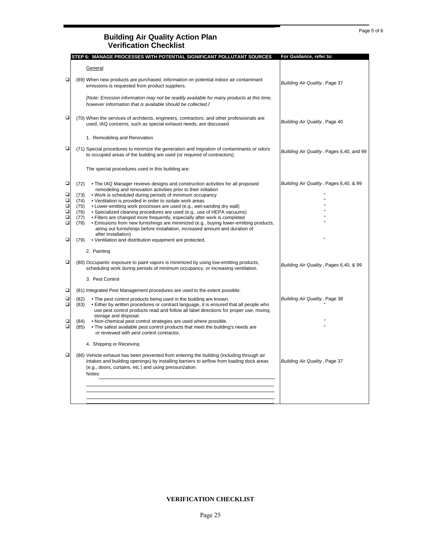#### Page 5 of 6

#### **Building Air Quality Action Plan Verification Checklist**

|                                                                    | STEP 6: MANAGE PROCESSES WITH POTENTIAL SIGNIFICANT POLLUTANT SOURCES                                                                                                                                                                                                                                                                                                                                                                                                                                                                                                                                                                                                                                                                                                                                                              | For Guidance, refer to:                  |
|--------------------------------------------------------------------|------------------------------------------------------------------------------------------------------------------------------------------------------------------------------------------------------------------------------------------------------------------------------------------------------------------------------------------------------------------------------------------------------------------------------------------------------------------------------------------------------------------------------------------------------------------------------------------------------------------------------------------------------------------------------------------------------------------------------------------------------------------------------------------------------------------------------------|------------------------------------------|
|                                                                    | General                                                                                                                                                                                                                                                                                                                                                                                                                                                                                                                                                                                                                                                                                                                                                                                                                            |                                          |
| $\Box$                                                             | (69) When new products are purchased, information on potential indoor air contaminant<br>emissions is requested from product suppliers.                                                                                                                                                                                                                                                                                                                                                                                                                                                                                                                                                                                                                                                                                            | Building Air Quality, Page 37            |
|                                                                    | [Note: Emission information may not be readily available for many products at this time,<br>however information that is available should be collected.                                                                                                                                                                                                                                                                                                                                                                                                                                                                                                                                                                                                                                                                             |                                          |
| $\Box$                                                             | (70) When the services of architects, engineers, contractors, and other professionals are<br>used, IAQ concerns, such as special exhaust needs, are discussed.                                                                                                                                                                                                                                                                                                                                                                                                                                                                                                                                                                                                                                                                     | Building Air Quality, Page 40            |
|                                                                    | 1. Remodeling and Renovation                                                                                                                                                                                                                                                                                                                                                                                                                                                                                                                                                                                                                                                                                                                                                                                                       |                                          |
| □                                                                  | (71) Special procedures to minimize the generation and migration of contaminants or odors<br>to occupied areas of the building are used (or required of contractors).                                                                                                                                                                                                                                                                                                                                                                                                                                                                                                                                                                                                                                                              | Building Air Quality, Pages 6,40, and 99 |
|                                                                    | The special procedures used in this building are:                                                                                                                                                                                                                                                                                                                                                                                                                                                                                                                                                                                                                                                                                                                                                                                  |                                          |
| □<br>$\Box$<br>$\Box$<br>$\Box$<br>$\Box$<br>$\Box$<br>$\Box$<br>□ | • The IAQ Manager reviews designs and construction activities for all proposed<br>(72)<br>remodeling and renovation activities prior to their initiation<br>• Work is scheduled during periods of minimum occupancy<br>(73)<br>• Ventilation is provided in order to isolate work areas<br>(74)<br>• Lower-emitting work processes are used (e.g., wet-sanding dry wall)<br>(75)<br>• Specialized cleaning procedures are used (e.g., use of HEPA vacuums)<br>(76)<br>• Filters are changed more frequently, especially after work is completed<br>(77)<br>. Emissions from new furnishings are minimized (e.g., buying lower-emitting products,<br>(78)<br>airing out furnishings before installation, increased amount and duration of<br>after installation)<br>• Ventilation and distribution equipment are protected.<br>(79) | Building Air Quality, Pages 6,40, & 99   |
|                                                                    | 2. Painting                                                                                                                                                                                                                                                                                                                                                                                                                                                                                                                                                                                                                                                                                                                                                                                                                        |                                          |
| □                                                                  | (80) Occupants' exposure to paint vapors is minimized by using low-emitting products,<br>scheduling work during periods of minimum occupancy, or increasing ventilation.                                                                                                                                                                                                                                                                                                                                                                                                                                                                                                                                                                                                                                                           | Building Air Quality, Pages 6,40, & 99   |
|                                                                    | 3. Pest Control                                                                                                                                                                                                                                                                                                                                                                                                                                                                                                                                                                                                                                                                                                                                                                                                                    |                                          |
| □                                                                  | (81) Integrated Pest Management procedures are used to the extent possible:                                                                                                                                                                                                                                                                                                                                                                                                                                                                                                                                                                                                                                                                                                                                                        |                                          |
| □<br>$\Box$                                                        | • The pest control products being used in the building are known.<br>(82)<br>• Either by written procedures or contract language, it is ensured that all people who<br>(83)<br>use pest control products read and follow all label directions for proper use, mixing,                                                                                                                                                                                                                                                                                                                                                                                                                                                                                                                                                              | Building Air Quality, Page 38            |
| ❏<br>$\Box$                                                        | storage and disposal.<br>. Non-chemical pest control strategies are used where possible.<br>(84)<br>• The safest available pest control products that meet the building's needs are<br>(85)<br>or reviewed with pest control contractor.                                                                                                                                                                                                                                                                                                                                                                                                                                                                                                                                                                                           |                                          |
|                                                                    | 4. Shipping or Receiving                                                                                                                                                                                                                                                                                                                                                                                                                                                                                                                                                                                                                                                                                                                                                                                                           |                                          |
| □                                                                  | (86) Vehicle exhaust has been prevented from entering the building (including through air<br>intakes and building openings) by installing barriers to airflow from loading dock areas<br>(e.g., doors, curtains, etc.) and using pressurization.<br>Notes:                                                                                                                                                                                                                                                                                                                                                                                                                                                                                                                                                                         | Building Air Quality, Page 37            |
|                                                                    |                                                                                                                                                                                                                                                                                                                                                                                                                                                                                                                                                                                                                                                                                                                                                                                                                                    |                                          |
|                                                                    |                                                                                                                                                                                                                                                                                                                                                                                                                                                                                                                                                                                                                                                                                                                                                                                                                                    |                                          |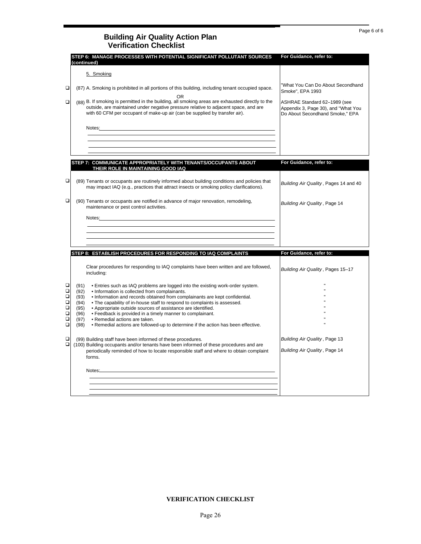|                                                                                                                                                                         | For Guidance, refer to:                                                                                                                                                                                                                                                                                                                                                                                                                                                                                                                                                                                                                                                                                                                                                                                                                                                                                                                                                                                 |
|-------------------------------------------------------------------------------------------------------------------------------------------------------------------------|---------------------------------------------------------------------------------------------------------------------------------------------------------------------------------------------------------------------------------------------------------------------------------------------------------------------------------------------------------------------------------------------------------------------------------------------------------------------------------------------------------------------------------------------------------------------------------------------------------------------------------------------------------------------------------------------------------------------------------------------------------------------------------------------------------------------------------------------------------------------------------------------------------------------------------------------------------------------------------------------------------|
| 5. Smoking                                                                                                                                                              |                                                                                                                                                                                                                                                                                                                                                                                                                                                                                                                                                                                                                                                                                                                                                                                                                                                                                                                                                                                                         |
|                                                                                                                                                                         | 'What You Can Do About Secondhand<br>Smoke", EPA 1993                                                                                                                                                                                                                                                                                                                                                                                                                                                                                                                                                                                                                                                                                                                                                                                                                                                                                                                                                   |
| 0R<br>outside, are maintained under negative pressure relative to adjacent space, and are<br>with 60 CFM per occupant of make-up air (can be supplied by transfer air). | ASHRAE Standard 62-1989 (see<br>Appendix 3, Page 30), and "What You<br>Do About Secondhand Smoke," EPA                                                                                                                                                                                                                                                                                                                                                                                                                                                                                                                                                                                                                                                                                                                                                                                                                                                                                                  |
|                                                                                                                                                                         |                                                                                                                                                                                                                                                                                                                                                                                                                                                                                                                                                                                                                                                                                                                                                                                                                                                                                                                                                                                                         |
|                                                                                                                                                                         |                                                                                                                                                                                                                                                                                                                                                                                                                                                                                                                                                                                                                                                                                                                                                                                                                                                                                                                                                                                                         |
| THEIR ROLE IN MAINTAINING GOOD IAQ                                                                                                                                      | For Guidance, refer to:                                                                                                                                                                                                                                                                                                                                                                                                                                                                                                                                                                                                                                                                                                                                                                                                                                                                                                                                                                                 |
| may impact IAQ (e.g., practices that attract insects or smoking policy clarifications).                                                                                 | Building Air Quality, Pages 14 and 40                                                                                                                                                                                                                                                                                                                                                                                                                                                                                                                                                                                                                                                                                                                                                                                                                                                                                                                                                                   |
| maintenance or pest control activities.                                                                                                                                 | Building Air Quality, Page 14                                                                                                                                                                                                                                                                                                                                                                                                                                                                                                                                                                                                                                                                                                                                                                                                                                                                                                                                                                           |
|                                                                                                                                                                         |                                                                                                                                                                                                                                                                                                                                                                                                                                                                                                                                                                                                                                                                                                                                                                                                                                                                                                                                                                                                         |
|                                                                                                                                                                         |                                                                                                                                                                                                                                                                                                                                                                                                                                                                                                                                                                                                                                                                                                                                                                                                                                                                                                                                                                                                         |
|                                                                                                                                                                         | For Guidance, refer to:                                                                                                                                                                                                                                                                                                                                                                                                                                                                                                                                                                                                                                                                                                                                                                                                                                                                                                                                                                                 |
|                                                                                                                                                                         |                                                                                                                                                                                                                                                                                                                                                                                                                                                                                                                                                                                                                                                                                                                                                                                                                                                                                                                                                                                                         |
| Clear procedures for responding to IAQ complaints have been written and are followed,<br>includina:                                                                     | Building Air Quality, Pages 15-17                                                                                                                                                                                                                                                                                                                                                                                                                                                                                                                                                                                                                                                                                                                                                                                                                                                                                                                                                                       |
| . Entries such as IAQ problems are logged into the existing work-order system.<br>• Information is collected from complainants.                                         |                                                                                                                                                                                                                                                                                                                                                                                                                                                                                                                                                                                                                                                                                                                                                                                                                                                                                                                                                                                                         |
| . Information and records obtained from complainants are kept confidential.<br>• The capability of in-house staff to respond to complaints is assessed.                 |                                                                                                                                                                                                                                                                                                                                                                                                                                                                                                                                                                                                                                                                                                                                                                                                                                                                                                                                                                                                         |
| • Feedback is provided in a timely manner to complainant.<br>• Remedial actions are taken.                                                                              |                                                                                                                                                                                                                                                                                                                                                                                                                                                                                                                                                                                                                                                                                                                                                                                                                                                                                                                                                                                                         |
| . Remedial actions are followed-up to determine if the action has been effective.                                                                                       |                                                                                                                                                                                                                                                                                                                                                                                                                                                                                                                                                                                                                                                                                                                                                                                                                                                                                                                                                                                                         |
|                                                                                                                                                                         | Building Air Quality, Page 13                                                                                                                                                                                                                                                                                                                                                                                                                                                                                                                                                                                                                                                                                                                                                                                                                                                                                                                                                                           |
| forms.                                                                                                                                                                  | Building Air Quality, Page 14                                                                                                                                                                                                                                                                                                                                                                                                                                                                                                                                                                                                                                                                                                                                                                                                                                                                                                                                                                           |
| Notes:                                                                                                                                                                  |                                                                                                                                                                                                                                                                                                                                                                                                                                                                                                                                                                                                                                                                                                                                                                                                                                                                                                                                                                                                         |
|                                                                                                                                                                         |                                                                                                                                                                                                                                                                                                                                                                                                                                                                                                                                                                                                                                                                                                                                                                                                                                                                                                                                                                                                         |
|                                                                                                                                                                         | STEP 6: MANAGE PROCESSES WITH POTENTIAL SIGNIFICANT POLLUTANT SOURCES<br>(continued)<br>(87) A. Smoking is prohibited in all portions of this building, including tenant occupied space.<br>(88) B. If smoking is permitted in the building, all smoking areas are exhausted directly to the<br>STEP 7: COMMUNICATE APPROPRIATELY WITH TENANTS/OCCUPANTS ABOUT<br>(89) Tenants or occupants are routinely informed about building conditions and policies that<br>(90) Tenants or occupants are notified in advance of major renovation, remodeling,<br>STEP 8: ESTABLISH PROCEDURES FOR RESPONDING TO IAQ COMPLAINTS<br>(91)<br>(92)<br>(93)<br>(94)<br>• Appropriate outside sources of assistance are identified.<br>(95)<br>(96)<br>(97)<br>(98)<br>(99) Building staff have been informed of these procedures.<br>(100) Building occupants and/or tenants have been informed of these procedures and are<br>periodically reminded of how to locate responsible staff and where to obtain complaint |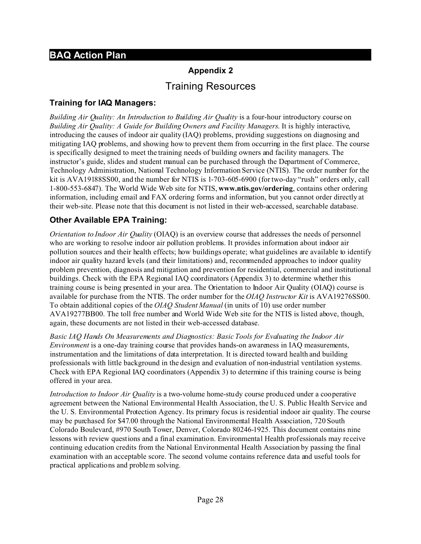# **Appendix 2** Training Resources

### **Training for IAQ Managers:**

*Building Air Quality: An Introduction to Building Air Quality* is a four-hour introductory course on *Building Air Quality: A Guide for Building Owners and Facility Managers*. It is highly interactive, introducing the causes of indoor air quality (IAQ) problems, providing suggestions on diagnosing and mitigating IAQ problems, and showing how to prevent them from occurring in the first place. The course is specifically designed to meet the training needs of building owners and facility managers. The instructor's guide, slides and student manual can be purchased through the Department of Commerce, Technology Administration, National Technology Information Service (NTIS). The order number for the kit is AVA19188SS00, and the number for NTIS is 1-703-605-6900 (for two-day "rush" orders only, call 1-800-553-6847). The World Wide Web site for NTIS, **www.ntis.gov/ordering**, contains other ordering information, including email and FAX ordering forms and information, but you cannot order directly at their web-site. Please note that this document is not listed in their web-accessed, searchable database.

### **Other Available EPA Training:**

*Orientation to Indoor Air Quality* (OIAQ) is an overview course that addresses the needs of personnel who are working to resolve indoor air pollution problems. It provides information about indoor air pollution sources and their health effects; how buildings operate; what guidelines are available to identify indoor air quality hazard levels (and their limitations) and, recommended approaches to indoor quality problem prevention, diagnosis and mitigation and prevention for residential, commercial and institutional buildings. Check with the EPA Regional IAQ coordinators (Appendix 3) to determine whether this training course is being presented in your area. The Orientation to Indoor Air Quality (OIAQ) course is available for purchase from the NTIS. The order number for the *OIAQ Instructor Kit* is AVA19276SS00. To obtain additional copies of the *OIAQ Student Manual* (in units of 10) use order number AVA19277BB00. The toll free number and World Wide Web site for the NTIS is listed above, though, again, these documents are not listed in their web-accessed database.

*Basic IAQ Hands On Measurements and Diagnostics: Basic Tools for Evaluating the Indoor Air Environment* is a one-day training course that provides hands-on awareness in IAQ measurements, instrumentation and the limitations of data interpretation. It is directed toward health and building professionals with little background in the design and evaluation of non-industrial ventilation systems. Check with EPA Regional IAQ coordinators (Appendix 3) to determine if this training course is being offered in your area.

*Introduction to Indoor Air Quality* is a two-volume home-study course produced under a cooperative agreement between the National Environmental Health Association, the U. S. Public Health Service and the U. S. Environmental Protection Agency. Its primary focus is residential indoor air quality. The course may be purchased for \$47.00 through the National Environmental Health Association, 720 South Colorado Boulevard, #970 South Tower, Denver, Colorado 80246-1925. This document contains nine lessons with review questions and a final examination. Environmental Health professionals may receive continuing education credits from the National Environmental Health Association by passing the final examination with an acceptable score. The second volume contains reference data and useful tools for practical applications and problem solving.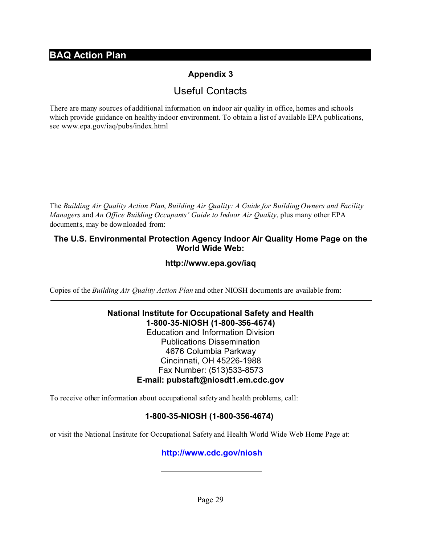# **Appendix 3**

# Useful Contacts

There are many sources of additional information on indoor air quality in office, homes and schools which provide guidance on healthy indoor environment. To obtain a list of available EPA publications, see www.epa.gov/iaq/pubs/index.html

The *Building Air Quality Action Plan*, *Building Air Quality: A Guide for Building Owners and Facility Managers* and *An Office Building Occupants' Guide to Indoor Air Quality*, plus many other EPA documents, may be downloaded from:

### **The U.S. Environmental Protection Agency Indoor Air Quality Home Page on the World Wide Web:**

### **http://www.epa.gov/iaq**

Copies of the *Building Air Quality Action Plan* and other NIOSH documents are available from:

### **National Institute for Occupational Safety and Health 1-800-35-NIOSH (1-800-356-4674)** Education and Information Division Publications Dissemination 4676 Columbia Parkway Cincinnati, OH 45226-1988 Fax Number: (513)533-8573 **E-mail: pubstaft@niosdt1.em.cdc.gov**

To receive other information about occupational safety and health problems, call:

## **1-800-35-NIOSH (1-800-356-4674)**

or visit the National Institute for Occupational Safety and Health World Wide Web Home Page at:

## **http://www.cdc.gov/niosh**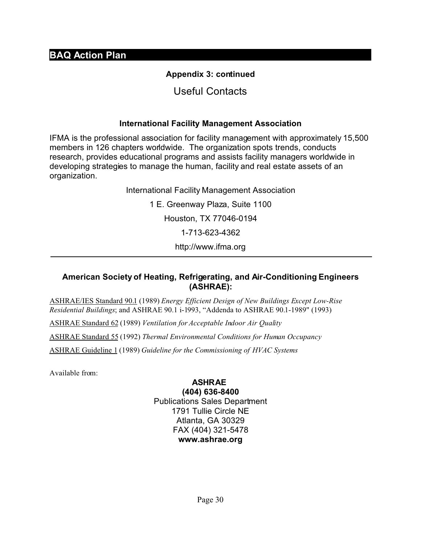# **Appendix 3: continued**

# Useful Contacts

### **International Facility Management Association**

IFMA is the professional association for facility management with approximately 15,500 members in 126 chapters worldwide. The organization spots trends, conducts research, provides educational programs and assists facility managers worldwide in developing strategies to manage the human, facility and real estate assets of an organization.

> International Facility Management Association 1 E. Greenway Plaza, Suite 1100 Houston, TX 77046-0194 1-713-623-4362 http://www.ifma.org

### **American Society of Heating, Refrigerating, and Air-Conditioning Engineers (ASHRAE):**

ASHRAE/IES Standard 90.1 (1989) *Energy Efficient Design of New Buildings Except Low-Rise Residential Buildings*; and ASHRAE 90.1 i-1993, "Addenda to ASHRAE 90.1-1989" (1993)

ASHRAE Standard 62 (1989) *Ventilation for Acceptable Indoor Air Quality*

ASHRAE Standard 55 (1992) *Thermal Environmental Conditions for Human Occupancy*

ASHRAE Guideline 1 (1989) *Guideline for the Commissioning of HVAC Systems*

Available from:

#### **ASHRAE (404) 636-8400**

Publications Sales Department 1791 Tullie Circle NE Atlanta, GA 30329 FAX (404) 321-5478 **www.ashrae.org**